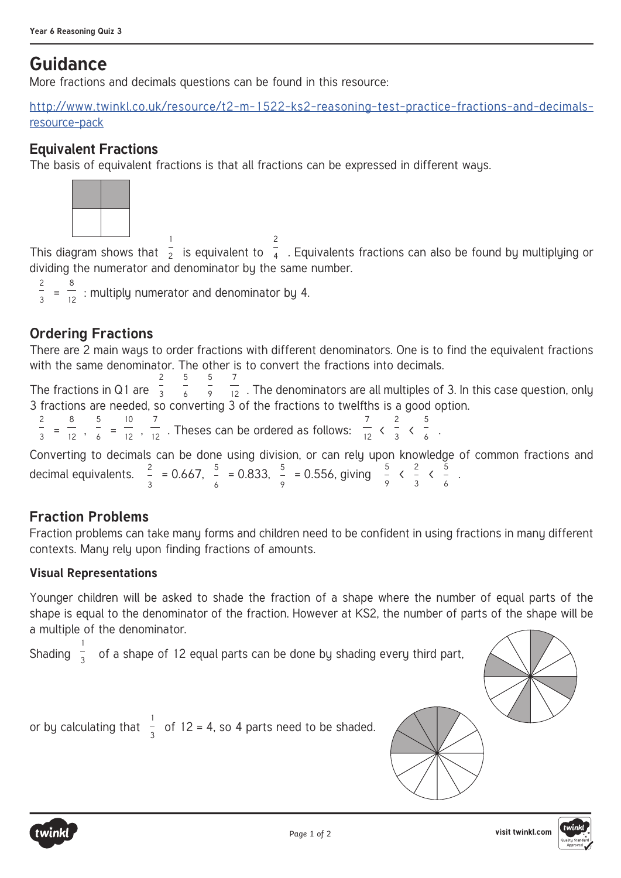# **Guidance**

More fractions and decimals questions can be found in this resource:

http://www.twinkl.co.uk/resource/t2-m-1522-ks2-reasoning-test-practice-fractions-and-decimalsresource-pack

## **Equivalent Fractions**

The basis of equivalent fractions is that all fractions can be expressed in different ways.



This diagram shows that 1  $\overline{2}$  is equivalent to 2  $\frac{1}{4}$  . Equivalents fractions can also be found by multiplying or dividing the numerator and denominator by the same number.

 $\frac{2}{3}$  =  $\frac{8}{12}$  : multiply numerator and denominator by 4.

## **Ordering Fractions**

There are 2 main ways to order fractions with different denominators. One is to find the equivalent fractions with the same denominator. The other is to convert the fractions into decimals.

The fractions in Q1 are 2 3 5 6 5 9 7  $\frac{1}{12}$  . The denominators are all multiples of 3. In this case question, only 3 fractions are needed, so converting 3 of the fractions to twelfths is a good option.

 $\frac{2}{3}$  =  $\frac{8}{12}$ ,  $\frac{5}{6}$  =  $\frac{10}{12}$ ,  $\frac{7}{12}$ . Theses can be ordered as follows: 7  $\frac{1}{12}$ 2  $\frac{1}{3}$ 5 –<br>6 ·

Converting to decimals can be done using division, or can rely upon knowledge of common fractions and decimal equivalents.  $\frac{2}{3}$  = 0.667,  $\frac{5}{6}$  = 0.833,  $\frac{5}{9}$  = 0.556, giving  $\frac{5}{9}$  <  $\frac{2}{3}$  $\frac{2}{3}$   $\begin{array}{c} 5 \\ 6 \end{array}$ .

## **Fraction Problems**

Fraction problems can take many forms and children need to be confident in using fractions in many different contexts. Many rely upon finding fractions of amounts.

#### **Visual Representations**

Younger children will be asked to shade the fraction of a shape where the number of equal parts of the shape is equal to the denominator of the fraction. However at KS2, the number of parts of the shape will be a multiple of the denominator.

Shading 1  $\frac{1}{3}$  of a shape of 12 equal parts can be done by shading every third part,

or by calculating that  $\frac{1}{3}$  of 12 = 4, so 4 parts need to be shaded.